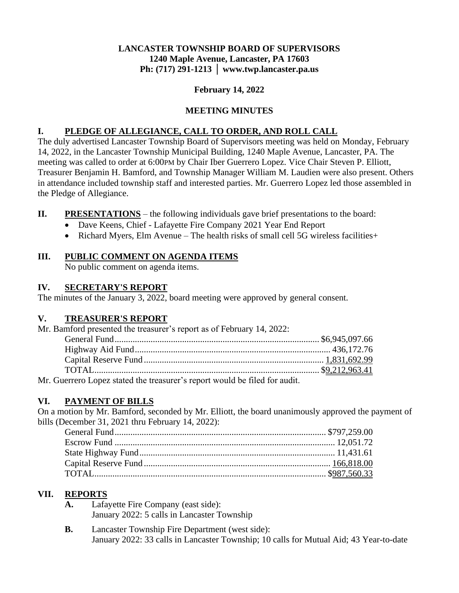#### **LANCASTER TOWNSHIP BOARD OF SUPERVISORS 1240 Maple Avenue, Lancaster, PA 17603 Ph: (717) 291-1213 │ www.twp.lancaster.pa.us**

#### **February 14, 2022**

#### **MEETING MINUTES**

#### **I. PLEDGE OF ALLEGIANCE, CALL TO ORDER, AND ROLL CALL**

The duly advertised Lancaster Township Board of Supervisors meeting was held on Monday, February 14, 2022, in the Lancaster Township Municipal Building, 1240 Maple Avenue, Lancaster, PA. The meeting was called to order at 6:00PM by Chair Iber Guerrero Lopez. Vice Chair Steven P. Elliott, Treasurer Benjamin H. Bamford, and Township Manager William M. Laudien were also present. Others in attendance included township staff and interested parties. Mr. Guerrero Lopez led those assembled in the Pledge of Allegiance.

- **II. PRESENTATIONS** the following individuals gave brief presentations to the board:
	- Dave Keens, Chief Lafayette Fire Company 2021 Year End Report
	- Richard Myers, Elm Avenue The health risks of small cell 5G wireless facilities+

#### **III. PUBLIC COMMENT ON AGENDA ITEMS**

No public comment on agenda items.

#### **IV. SECRETARY'S REPORT**

The minutes of the January 3, 2022, board meeting were approved by general consent.

# **V. TREASURER'S REPORT**

Mr. Bamford presented the treasurer's report as of February 14, 2022:

| Mr. Guerrero Lopez stated the treasurer's report would be filed for audit. |  |
|----------------------------------------------------------------------------|--|

# **VI. PAYMENT OF BILLS**

On a motion by Mr. Bamford, seconded by Mr. Elliott, the board unanimously approved the payment of bills (December 31, 2021 thru February 14, 2022):

# **VII. REPORTS**

- **A.** Lafayette Fire Company (east side): January 2022: 5 calls in Lancaster Township
- **B.** Lancaster Township Fire Department (west side): January 2022: 33 calls in Lancaster Township; 10 calls for Mutual Aid; 43 Year-to-date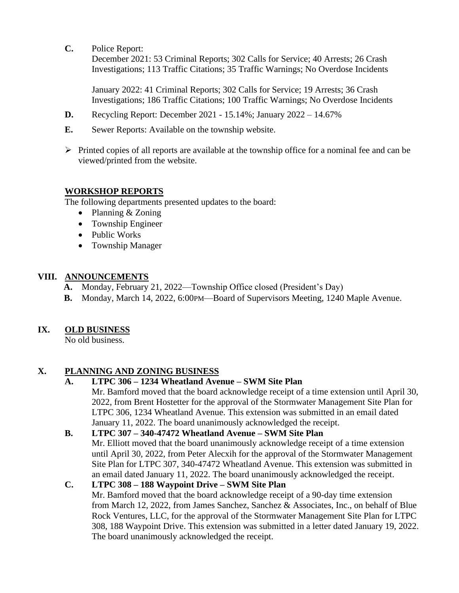**C.** Police Report:

December 2021: 53 Criminal Reports; 302 Calls for Service; 40 Arrests; 26 Crash Investigations; 113 Traffic Citations; 35 Traffic Warnings; No Overdose Incidents

January 2022: 41 Criminal Reports; 302 Calls for Service; 19 Arrests; 36 Crash Investigations; 186 Traffic Citations; 100 Traffic Warnings; No Overdose Incidents

- **D.** Recycling Report: December 2021 15.14%; January 2022 14.67%
- **E.** Sewer Reports: Available on the township website.
- $\triangleright$  Printed copies of all reports are available at the township office for a nominal fee and can be viewed/printed from the website.

#### **WORKSHOP REPORTS**

The following departments presented updates to the board:

- Planning & Zoning
- Township Engineer
- Public Works
- Township Manager

#### **VIII. ANNOUNCEMENTS**

- **A.** Monday, February 21, 2022—Township Office closed (President's Day)
- **B.** Monday, March 14, 2022, 6:00PM—Board of Supervisors Meeting, 1240 Maple Avenue.

# **IX. OLD BUSINESS**

No old business.

# **X. PLANNING AND ZONING BUSINESS**

# **A. LTPC 306 – 1234 Wheatland Avenue – SWM Site Plan**

Mr. Bamford moved that the board acknowledge receipt of a time extension until April 30, 2022, from Brent Hostetter for the approval of the Stormwater Management Site Plan for LTPC 306, 1234 Wheatland Avenue. This extension was submitted in an email dated January 11, 2022. The board unanimously acknowledged the receipt.

# **B. LTPC 307 – 340-47472 Wheatland Avenue – SWM Site Plan**

Mr. Elliott moved that the board unanimously acknowledge receipt of a time extension until April 30, 2022, from Peter Alecxih for the approval of the Stormwater Management Site Plan for LTPC 307, 340-47472 Wheatland Avenue. This extension was submitted in an email dated January 11, 2022. The board unanimously acknowledged the receipt.

#### **C. LTPC 308 – 188 Waypoint Drive – SWM Site Plan**

Mr. Bamford moved that the board acknowledge receipt of a 90-day time extension from March 12, 2022, from James Sanchez, Sanchez & Associates, Inc., on behalf of Blue Rock Ventures, LLC, for the approval of the Stormwater Management Site Plan for LTPC 308, 188 Waypoint Drive. This extension was submitted in a letter dated January 19, 2022. The board unanimously acknowledged the receipt.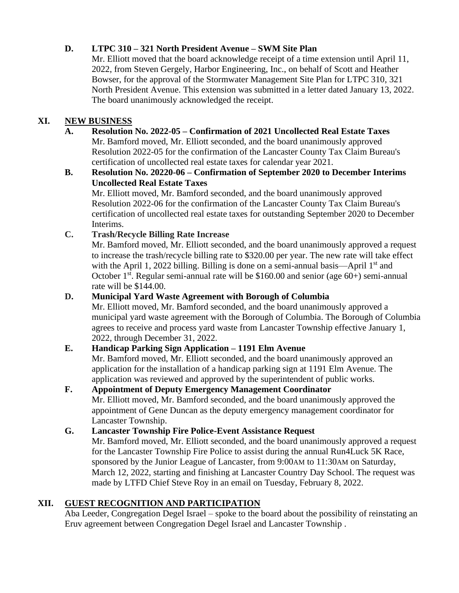# **D. LTPC 310 – 321 North President Avenue – SWM Site Plan**

Mr. Elliott moved that the board acknowledge receipt of a time extension until April 11, 2022, from Steven Gergely, Harbor Engineering, Inc., on behalf of Scott and Heather Bowser, for the approval of the Stormwater Management Site Plan for LTPC 310, 321 North President Avenue. This extension was submitted in a letter dated January 13, 2022. The board unanimously acknowledged the receipt.

# **XI. NEW BUSINESS**

- **A. Resolution No. 2022-05 – Confirmation of 2021 Uncollected Real Estate Taxes** Mr. Bamford moved, Mr. Elliott seconded, and the board unanimously approved Resolution 2022-05 for the confirmation of the Lancaster County Tax Claim Bureau's certification of uncollected real estate taxes for calendar year 2021.
- **B. Resolution No. 20220-06 – Confirmation of September 2020 to December Interims Uncollected Real Estate Taxes**

Mr. Elliott moved, Mr. Bamford seconded, and the board unanimously approved Resolution 2022-06 for the confirmation of the Lancaster County Tax Claim Bureau's certification of uncollected real estate taxes for outstanding September 2020 to December Interims.

# **C. Trash/Recycle Billing Rate Increase**

Mr. Bamford moved, Mr. Elliott seconded, and the board unanimously approved a request to increase the trash/recycle billing rate to \$320.00 per year. The new rate will take effect with the April 1, 2022 billing. Billing is done on a semi-annual basis—April  $1<sup>st</sup>$  and October 1<sup>st</sup>. Regular semi-annual rate will be  $$160.00$  and senior (age  $60+$ ) semi-annual rate will be \$144.00.

#### **D. Municipal Yard Waste Agreement with Borough of Columbia**

Mr. Elliott moved, Mr. Bamford seconded, and the board unanimously approved a municipal yard waste agreement with the Borough of Columbia. The Borough of Columbia agrees to receive and process yard waste from Lancaster Township effective January 1, 2022, through December 31, 2022.

# **E. Handicap Parking Sign Application – 1191 Elm Avenue**

Mr. Bamford moved, Mr. Elliott seconded, and the board unanimously approved an application for the installation of a handicap parking sign at 1191 Elm Avenue. The application was reviewed and approved by the superintendent of public works.

# **F. Appointment of Deputy Emergency Management Coordinator**

Mr. Elliott moved, Mr. Bamford seconded, and the board unanimously approved the appointment of Gene Duncan as the deputy emergency management coordinator for Lancaster Township.

# **G. Lancaster Township Fire Police-Event Assistance Request**

Mr. Bamford moved, Mr. Elliott seconded, and the board unanimously approved a request for the Lancaster Township Fire Police to assist during the annual Run4Luck 5K Race, sponsored by the Junior League of Lancaster, from 9:00 AM to 11:30 AM on Saturday, March 12, 2022, starting and finishing at Lancaster Country Day School. The request was made by LTFD Chief Steve Roy in an email on Tuesday, February 8, 2022.

# **XII. GUEST RECOGNITION AND PARTICIPATION**

Aba Leeder, Congregation Degel Israel – spoke to the board about the possibility of reinstating an Eruv agreement between Congregation Degel Israel and Lancaster Township .